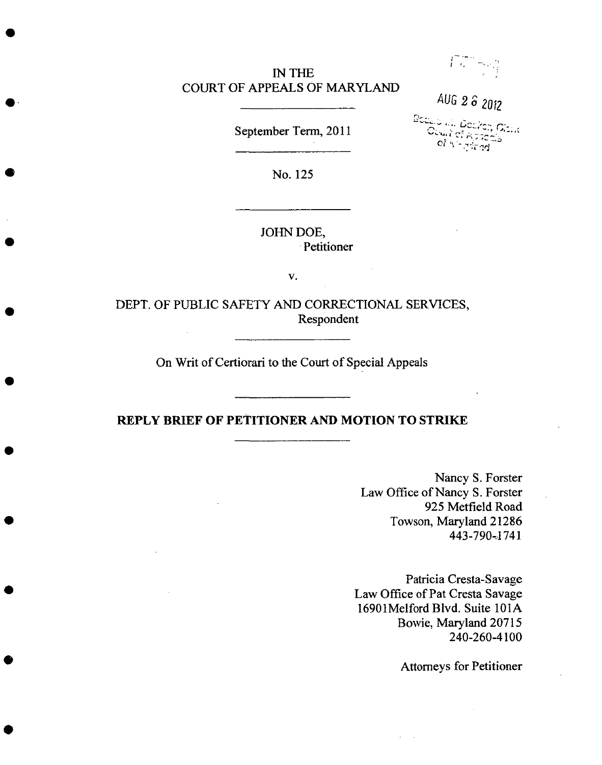## IN **THE** COURT OF APPEALS OF MARYLAND



AUG 2 \_ **2012**

September *Term,* 2011

Bodalo kit. Docker, Oidik<br>| Ocuri ef Appells<br>| oi i<sup>n in</sup> giang

No. 125

JOHN DOE, Petitioner

 $\mathbf{v}$ .

DEPT. OF PUBLIC SAFETY AND CORRECTIONAL SERVICES, Respondent

On Writ of Certiorari to the Court of Special Appeals

### **REPLY BRIEF OF PETITIONER AND MOTION** TO **STRIKE**

Nancy S. Forster Law Office of Nancy S. Forster 925 Metfield Road *Towson,* Maryland 21286 443-790--1741

Patricia Cresta-Savage Law Office of Pat **Cresta** Savage 16901Melford Blvd. Suite 101A Bowie, Maryland 20715 240-260-4100

Attorneys for Petitioner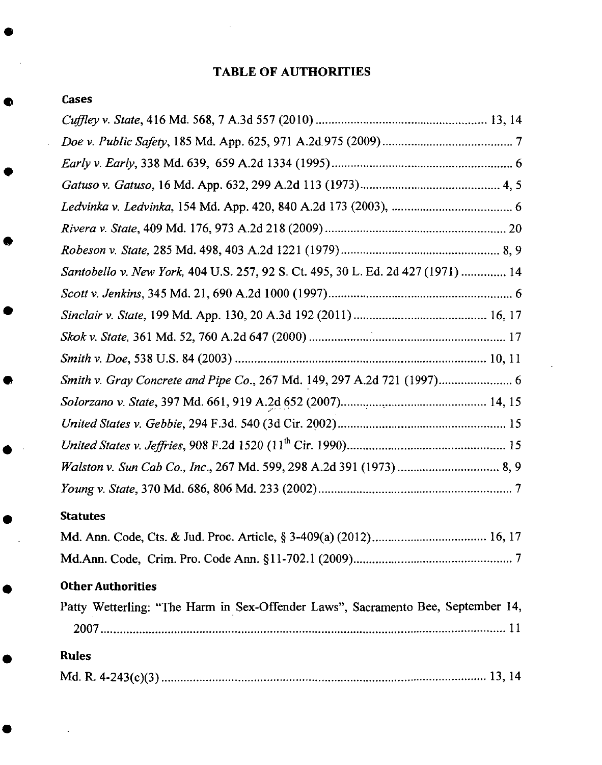## TABLE **OF AUTHORITIES**

| Cases                                                                            |  |
|----------------------------------------------------------------------------------|--|
|                                                                                  |  |
|                                                                                  |  |
|                                                                                  |  |
|                                                                                  |  |
|                                                                                  |  |
|                                                                                  |  |
|                                                                                  |  |
| Santobello v. New York, 404 U.S. 257, 92 S. Ct. 495, 30 L. Ed. 2d 427 (1971)  14 |  |
|                                                                                  |  |
|                                                                                  |  |
|                                                                                  |  |
|                                                                                  |  |
|                                                                                  |  |

#### **Statutes**

## **Other Authorities**

|              |  |  |  | Patty Wetterling: "The Harm in Sex-Offender Laws", Sacramento Bee, September 14, |  |  |
|--------------|--|--|--|----------------------------------------------------------------------------------|--|--|
|              |  |  |  |                                                                                  |  |  |
|              |  |  |  |                                                                                  |  |  |
| <b>Rules</b> |  |  |  |                                                                                  |  |  |
|              |  |  |  |                                                                                  |  |  |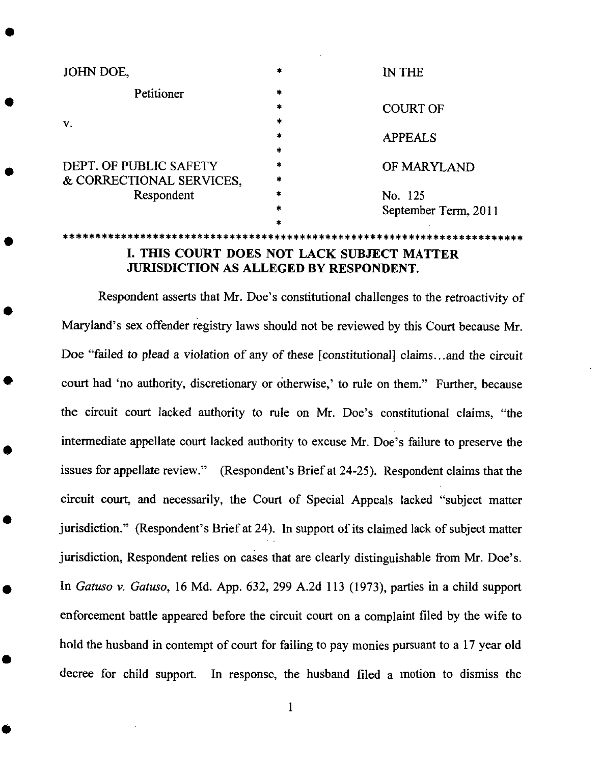| JOHN DOE,                |   | IN THE               |
|--------------------------|---|----------------------|
| Petitioner               | * |                      |
|                          | * | <b>COURT OF</b>      |
| v.                       | * |                      |
|                          | * | <b>APPEALS</b>       |
|                          | * |                      |
| DEPT. OF PUBLIC SAFETY   | * | OF MARYLAND          |
| & CORRECTIONAL SERVICES, | * |                      |
| Respondent               |   | No. 125              |
|                          | * | September Term, 2011 |
|                          |   |                      |

# I. THIS COURT DOES NOT LACK SUBJECT MATTER JURISDICTION AS ALLEGED BY RESPONDENT.

Respondent asserts *that* Mr. Doe's constitutional challenges to the retroactivity of Maryland's sex offender registry laws should not be reviewed by this Court because Mr. Doe "failed *to* plead a violation of any of these **[constitutional]** claims...and the circuit court had 'no authority, discretionary or otherwise,' to rule on them." Further, because the circuit court lacked authority *to* rule on Mr. Doe's constitutional claims, "the intermediate appellate court lacked authority to excuse Mr. Doe's failure to preserve the issues for appellate review." (Respondent's Brief at 24-25). Respondent claims that the circuit court, and necessarily, the Court of Special Appeals lacked "subject matter jurisdiction." (Respondent's Brief at 24). In support of its claimed lack of subject matter jurisdiction, Respondent relies on cases that are clearly distinguishable from Mr. Doe's. In *Gatuso v. Gatuso,* 16 Md. App. 632, 299 A.2d 113 (1973), parties in a child support enforcement battle appeared before the circuit court on a complaint filed by the wife to hold the husband in contempt of court for failing to pay monies pursuant to a 17 year old decree for child support. In response, the husband filed a motion to dismiss the

1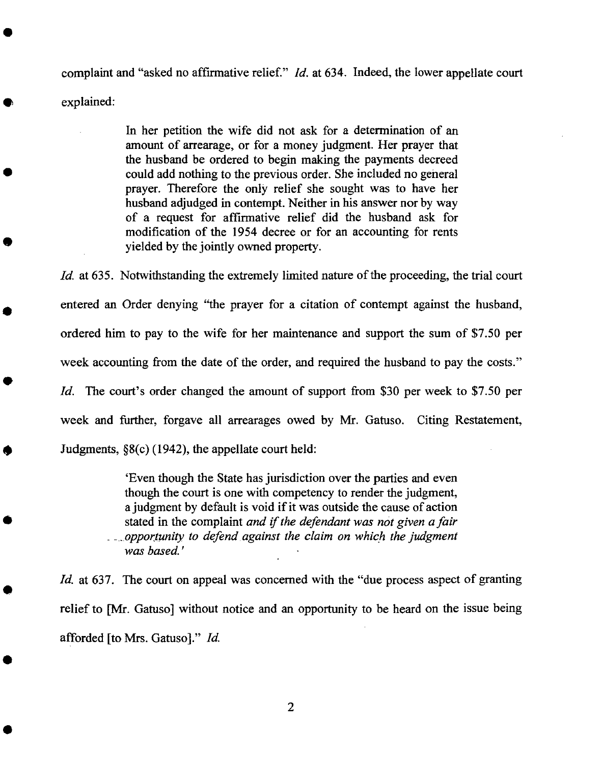complaint and "asked no **affirmative** relief." *Id.* at 634. Indeed, the lower appellate court explained:

> In her petition the wife did not ask for a determination of an amount of arrearage, or for a money judgment. Her prayer that the husband be ordered to begin making the payments decreed could add nothing to the previous order. She included no general prayer. Therefore the only relief she sought was to have her husband adjudged in contempt. Neither in his answer nor by way of a request for affirmative relief did the husband ask for modification of the 1954 decree or for an accounting for rents yielded by the jointly owned property.

*ld.* at 635. Notwithstanding the extremely limited nature of the proceeding, the trial court entered an Order denying "the prayer for a citation **of** contempt against the husband, ordered him to pay to the wife for her maintenance and support the sum of \$7.50 per week accounting from the date of the order, and required the husband to pay the costs." *Id.* The court's order changed the amount of support from \$30 per week to \$7.50 per week and further, forgave all arrearages owed by Mr. Gatuso. Citing Restatement, Judgments, §8(c) (1942), the appellate court held:

> 'Even though the State has jurisdiction over the parties and even though the court is one with competency to render the judgment, a judgment by default is void if it was outside the cause of action stated in the complaint *and if the defendant was not given a fair* ..... *oppor, tunity to defend against the claim on which the judgment was based.'*

*Id.* at 637. The court on appeal was concerned with the "due process aspect of granting relief to [Mr. Gatuso] without notice and an opportunity to be heard on the issue being afforded **[to** Mrs. Gatuso]." *Id.*

 $\overline{2}$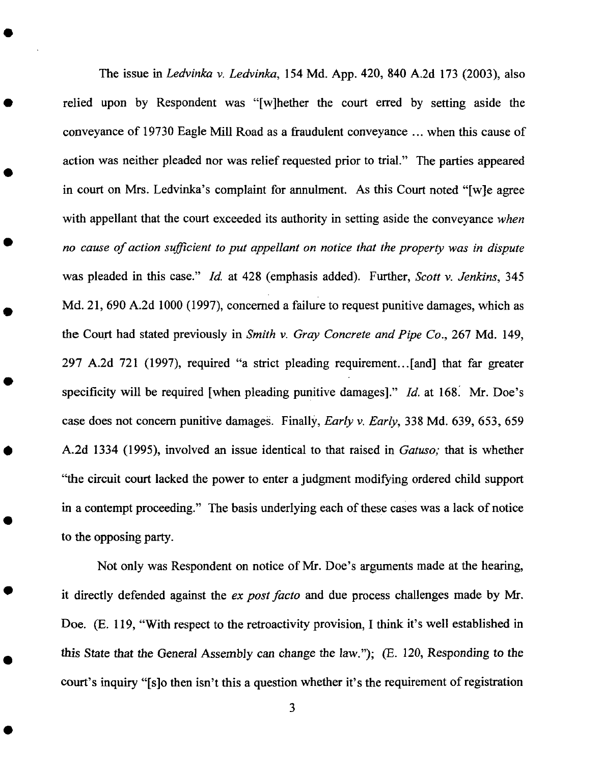The issue in *Ledvinka v. Ledvinka,* 154 Md. App. 420, 840 A.2d 173 (2003), also relied upon by Respondent was "[w]hether the court erred by setting aside the conveyance of 19730 Eagle Mill Road as a fraudulent conveyance ... when this cause of action was neither pleaded nor was relief requested prior to trial." The parties appeared in court on Mrs. Ledvinka's complaint for annulment. As this Court noted "[w]e agree with appellant that the court exceeded its authority in setting aside the conveyance *when no cause of action sufficient to put appellant on notice that the property was in dispute* was pleaded in this case." *ld.* at 428 (emphasis added). Further, *Scott v. Jenkins,* 345 Md. 21, 690 A.2d 1000 (1997), concerned a failure to request punitive damages, which as the Court had stated previously in *Smith v. Gray Concrete and Pipe Co.,* 267 Md. 149, 297 A.2d 721 (1997), required "a strict pleading requirement...[and] that far greater specificity will be required [when pleading punitive damages]." *Id.* at 168. Mr. Doe's case does not concern punitive damages. Finally, *Early v. Early,* 338 Md. 639, 653,659 A.2d 1334 (1995), involved an issue identical to that raised in *Gatuso;* that is whether "the circuit court lacked the power to enter a judgment modifying ordered child support in a contempt proceeding." The basis underlying each of these cases was a lack of notice to the opposing party.

*Not* only was Respondent on notice of Mr. Doe's arguments made at the hearing, it directly defended against the *ex post facto* and due process challenges made by Mr. Doe. (E. 119, "With respect to the retroactivity provision, I think it's well established in this State that the General *Assembly* can change the law."); (E. 120, Responding to the court's inquiry "[s]o then isn't this a question whether it's the requirement of registration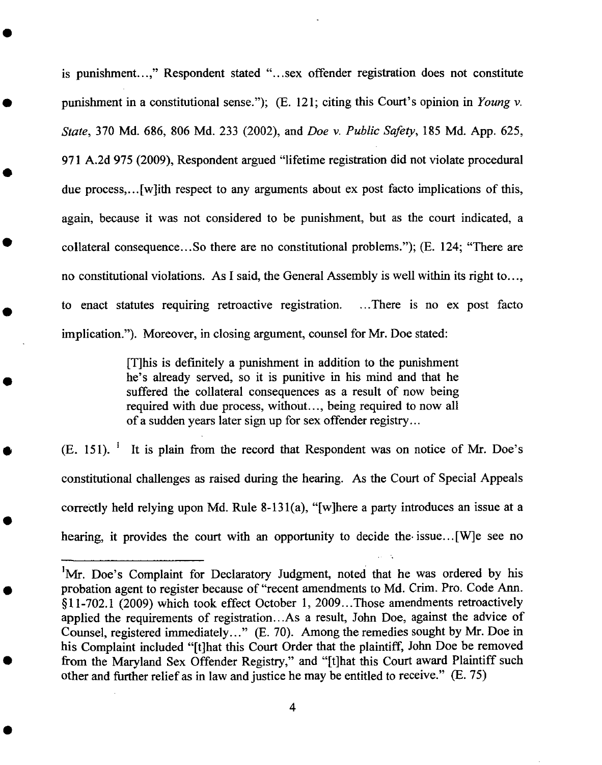is punishment...," Respondent stated "...sex offender registration does **not** constitute punishment in a constitutional sense."); (E. 121; citing **this** Court's opinion in *Young v. State,* 370 Md. 686, **806** Md. 233 (2002), and *Doe v. Public Safety,* **185** Md. App. 625, 971 A.2d 975 (2009), Respondent argued "lifetime registration did not violate procedural due process,... [w]ith **respect** to any arguments about ex post facto implications of this, again, because it was not considered **to** be punishment, but as **the** court indicated, a collateral consequence...So there are no constitutional problems."); (E. **124;** "There are no constitutional violations. As I said, **the** General Assembly is well within its right **to...,** to **enact** statutes requiring retroactive **registration** .... There is no ex post facto implication."). Moreover, in closing argument, counsel for Mr. Doe stated:

> [T]his is definitely a punishment in addition **to** the punishment he's already **served, so** it is punitive in his mind and **that** he suffered the collateral consequences as a result of now being required with due process, without..., being **required to** now all of a sudden **years** later **sign** up for sex offender registry...

 $(E. 151)$ . <sup>1</sup> It is plain from the record that Respondent was on notice of Mr. Doe's constitutional challenges as raised during the hearing. As the Court of Special Appeals correctly held relying upon Md. Rule **8-13** l(a), "[w]here a party introduces an issue at a hearing, it provides the court with an opportunity **to** decide **the.** issue...[W]e **see** no

<sup>&</sup>lt;sup>1</sup>Mr. Doe's Complaint for Declaratory Judgment, noted that he was ordered by his probation agent to register because of "recent amendments to Md. Crim. Pro. Code Ann. §11-702.1 (2009) which took effect October 1, 2009...Those amendments retroactively applied the requirements of registration...As a result, John Doe, against the advice of Counsel, registered immediately..." (E. 70). *Among* the remedies sought by Mr. Doe in his Complaint included "[t]hat this Court Order that the plaintiff, John Doe be removed from the Maryland Sex Offender Registry," and "[t]hat this Court award Plaintiff such other and further relief as in law and justice he may be entitled to receive." (E. 75)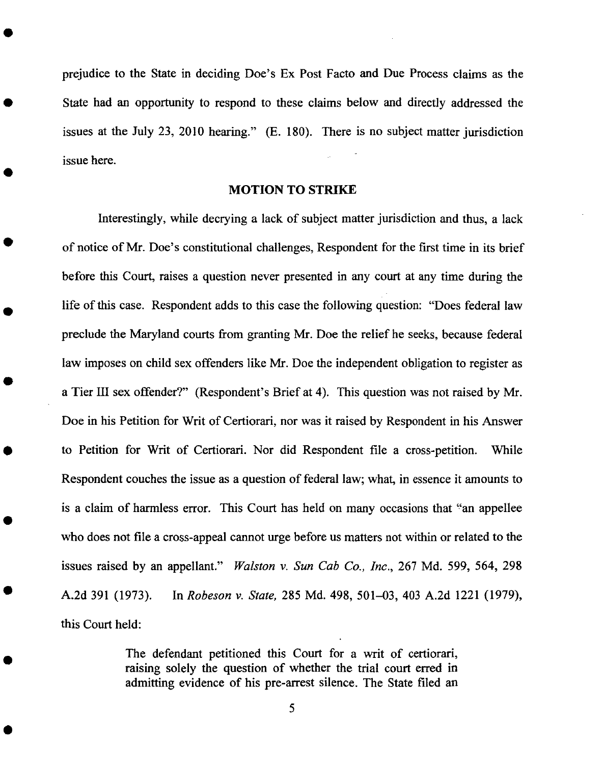prejudice to the State in deciding Doe's Ex **Post** Facto and Due Process claims as the State had an opportunity to respond to these claims below and directly addressed the issues at the July 23, 2010 hearing."  $(E. 180)$ . There is no subject matter jurisdict issue here.

#### **MOTION** TO STRIKE

Interestingly, while decrying a lack of subject matter jurisdiction and thus, a lack of notice of Mr. Doe's constitutional challenges, Respondent for the first time in its brief before this Court, raises a question never presented in any court at any time during the life of this case. Respondent adds to this case the following question: "Does federal law preclude the Maryland courts from granting Mr. Doe the relief he seeks, because federal law imposes on child sex offenders like Mr. Doe the independent obligation to register as a Tier III sex offender?" (Respondent's Brief at 4). This question was not raised by Mr. Doe in his Petition for Writ of Certiorari, nor was it raised by Respondent in his *Answer* to Petition for Writ of Certiorari. Nor did Respondent file a cross-petition. While Respondent couches the issue as a question of federal law; what, in essence it amounts to is a claim of harmless error. This Court has held on many occasions that "an appellee who does not file a cross-appeal cannot urge before us matters not within or related to the issues raised by an appellant." *Walston v. Sun Cab Co., lnc.,* 267 Md. 599, 564, 298 A.2d 391 (1973). In *Robeson v. State,* 285 Md. 498, 501-03, 403 A.2d 1221 (1979), this Court held:

> The **defendant** petitioned this Court for **a** writ of certiorari, raising solely the question of whether the trial court erred in admitting evidence of his pre-arrest silence. The State filed an

> > 5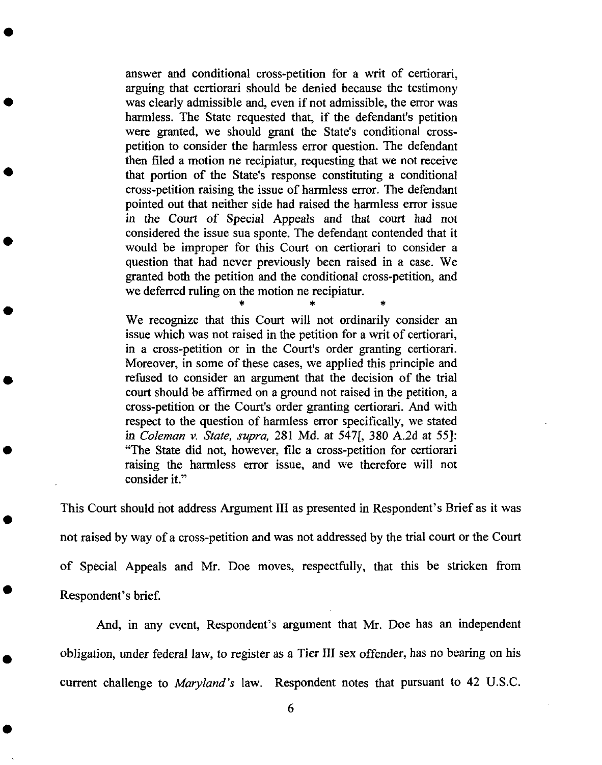answer and conditional cross-petition for a writ of certiorari, arguing that certiorari should be denied because**the** testimony was clearly admissible and, even if not admissible, the error was harmless. The State requested that, if the defendant's petition were granted, we should grant the State's conditional crosspetition to consider **the** harmless error question. The defendant then filed a motion ne recipiatur, **requesting** that we not receive that portion of the State's response constituting a conditional cross-petition raising the issue of harmless error. The defendant pointed out **that** neither side had raised the harmless error issue in **the** Court of Special Appeals and that court had not considered the issue **sua sponte.** The defendant contended that it would be improper for **this** Court on certiorari to consider a question that had never previously been raised in a case. We granted both the petition and the conditional cross-petition, and we deferred ruling on the motion ne recipiatur.

We **recognize** that this Court will not ordinarily consider an issue which was not raised in the petition for a writ of certiorari, in a cross-petition or in the Court's order granting certiorari. Moreover, in some of these cases, we applied this principle and **refused to** consider an argument that the decision of the **trial** court **should** be affirmed on a ground not raised in the petition, a cross-petition or the Court's order granting certiorari. And with **respect to** the question of harmless error **specifically,** we **stated** in *Coleman v. State, supra,* 281 Md. at 547[, 380 *A.2d* at 55]: "The State did not, however, file a cross-petition for certiorari raising the harmless error issue, and we **therefore** will not consider it."

This Court should not address Argument III as presented in Respondent's Brief as it was not raised by way of a cross-petition and was not addressed by the trial court or the Court of Special Appeals and Mr. Doe moves, respectfully, that this be stricken from Respondent's brief.

And, in any event, Respondent's argument that Mr. Doe has an independent obligation, under federal law, **to** register as a Tier **III** sex offender, has no bearing on his current challenge **to** *Maryland's* law. Respondent notes that pursuant to 42 U.S.C.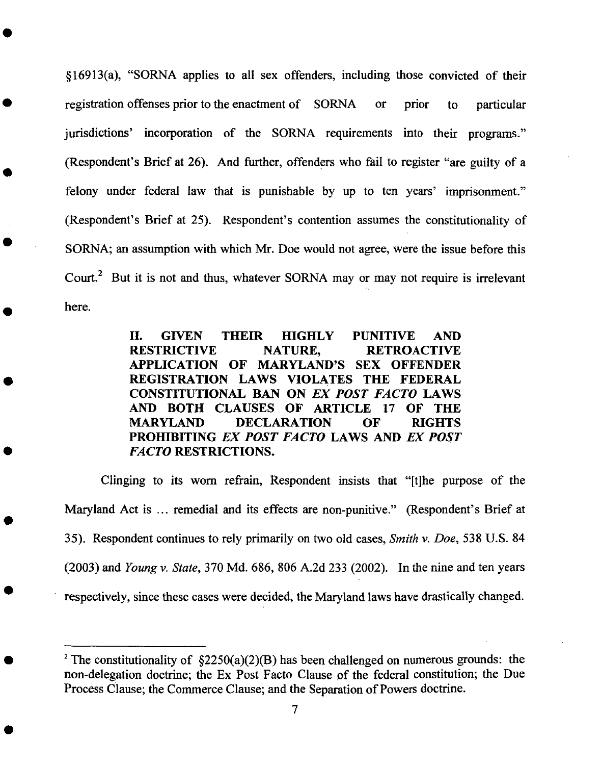§16913(a), "SORNA applies to all sex offenders, including those convicted of their registration offenses prior to the enactment of SORNA or jurisdictions' incorporation of the SORNA requirements into their programs." (Respondent's Brief at 26). *And* further, offenders who fail to register "are guilty of a felony under federal law that is punishable by up to ten years' imprisonme (Respondent's Brief at 25). Respondent's contention assumes the constitutionality of prior to particular SORNA; an assumption with which Mr. Doe would not agree, were the issue before this Court.<sup>2</sup> But it is not and thus, whatever SORNA may or may not require is irrelevant here.

> **II. GIVEN** THEIR **HIGHLY PUNITIVE AND RESTRICTIVE NATURE, RETROACTIVE APPLICATION OF MARYLAND'S SEX OFFENDER** REGISTRATION **LAWS VIOLATES THE FEDERAL CONSTITUTIONAL BAN ON** *EX POST FACTO* **LAWS AND BOTH CLAUSES OF ARTICLE 17 OF THE MARYLAND DECLARATION OF RIGHTS PROHIBITING** *EX POST FACTO* **LAWS AND** *EX POST FACTO* RESTRICTIONS.

Clinging to its worn refrain, Respondent insists that "[t]he purpose of the Maryland *Act* is ... remedial and its effects are non-punitive." (Respondent's Brief at 35). Respondent continues to rely primarily on two old cases, *Smith v. Doe,* 538 U.S. 84 (2003) and *Young v. State,* 370 Md. 686, 806 A.2d 233 (2002). In the nine and ten years respectively, since these cases were decided, the Maryland laws have drastically changed.

<sup>&</sup>lt;sup>2</sup> The constitutionality of  $\S2250(a)(2)(B)$  has been challenged on numerous grounds: the non-delegation doctrine; the Ex Post Facto Clause of the federal constitution; the Due Process Clause; the Commerce Clause; and the Separation of Powers doctrine.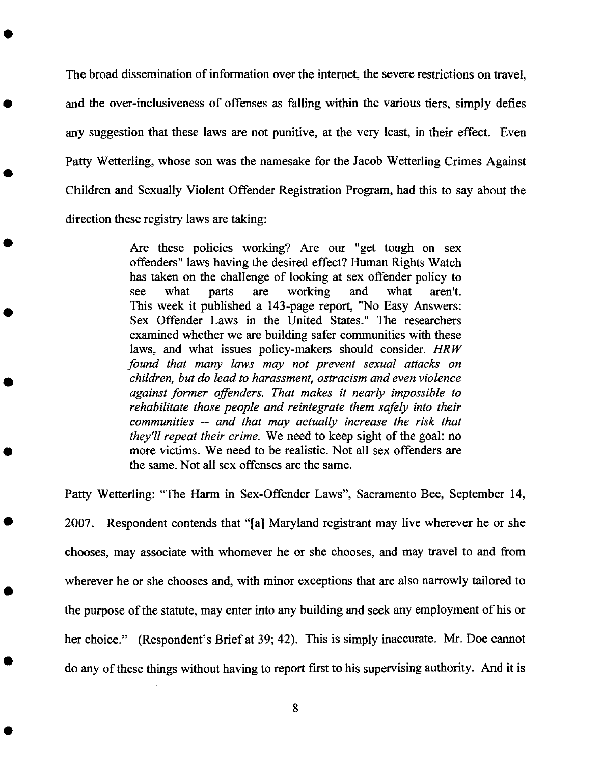The broad dissemination of information over the internet, the severe restrictions on travel, and the over-inclusiveness of offenses as falling within the various tiers, simply defies any suggestion that these laws are **not** punitive, at the very **least,** in their effect. Even Patty Wetterling, whose son was the namesake for *the* Jacob Wetterling Crimes Against Children and Sexually Violent Offender Registration Program, had this to say about the direction these registry laws are taking:

> Are these policies working? Are our "get tough on sex offenders" laws having the desired effect? Human Rights Watch has taken on the challenge of looking at sex offender policy to see what parts are working and what aren't. This week it published a 143-page report, "No Easy Answers: Sex Offender Laws in the United States." The researchers examined whether we are building safer communities with these laws, and what issues policy-makers should consider. *HRW found that many laws may not prevent sexual attacks on children, but do lead to harassment, ostracism and even violence against former offenders. That makes it nearly impossible to rehabilitate those people and reintegrate them safely into their communities* -- *and that may actually increase the risk that they'll repeat their crime.* We need to keep sight of the goal: no more victims. We need to be realistic. Not all sex offenders are the same. Not all sex offenses are the same.

Patty Wetterling: "The Harm in Sex-Offender Laws", Sacramento Bee, September 14, 2007. Respondent contends that "[a] Maryland registrant may live wherever he or she chooses, may associate with whomever he or she chooses, and may travel to and from wherever he or she chooses and, with minor exceptions that are also narrowly tailored to the purpose of the statute, may enter into any building and seek any employment of his or her choice." (Respondent's Brief at 39; 42). This is simply inaccurate. Mr. Doe cannot do any of these things without having to report first to his supervising authority. And **it** is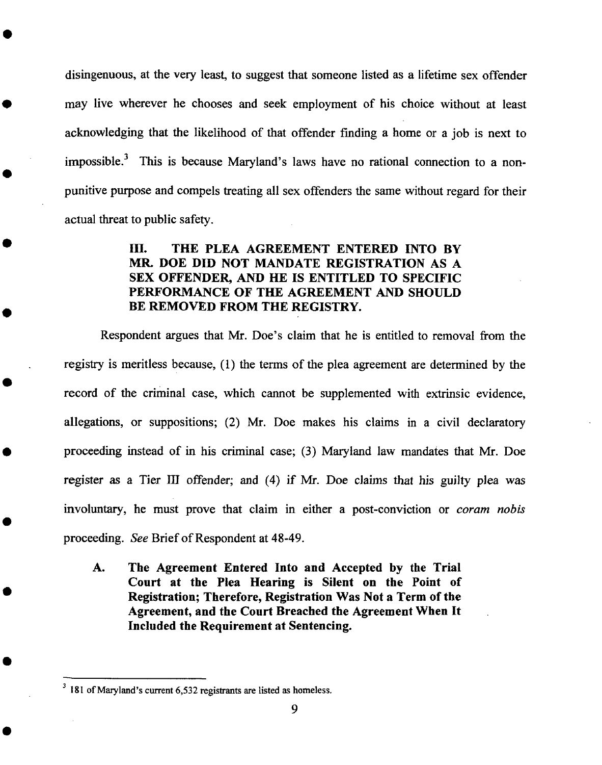disingenuous, at the very least, to suggest that someone listed as a lifetime sex offender may live wherever he chooses and seek employment of his choice without at least acknowledging that the likelihood of that offender fmding a home or a job is next to impossible.<sup>3</sup> This is because Maryland's laws have no rational connection to a nonpunitive purpose and compels treating all sex offenders the samewithout regard for their actual threat to public safety.

## **1H. THE PLEA AGREEMENT ENTERED INTO BY MR. DOE DID NOT MANDATE** REGISTRATION **AS A SEX OFFENDER, AND HE IS ENTITLED TO SPECIFIC PERFORMANCE OF THE AGREEMENT AND SHOULD BE** REMOVED **FROM THE** REGISTRY.

Respondent argues that Mr. Doe's claim that he is entitled to removal from the registry is meritless because, (1) the terms of the plea agreement are determined by the record of the criminal case, which cannot be supplemented with extrinsic evidence, allegations, or suppositions; (2) Mr. Doe makes his claims in a civil declaratory proceeding instead of in his criminal case; (3) Maryland law mandates that Mr. Doe register as a Tier III offender; and (4) if Mr. Doe claims that his guilty plea was involuntary, he must prove that claim in either a post-conviction or *coram nobis* proceeding. *See* Brief of Respondent at 48-49.

A. The Agreement Entered Into and Accepted by the Trial Court **at the** Plea **Hearing is Silent on the Point of Registration; Therefore, Registration Was Not a Term of the Agreement, and the** Court **Breached the Agreement When It Included the Requirement at Sentencing.**

<sup>3</sup> **181 of** Maryland's current 6,532 registrants are listed as homeless.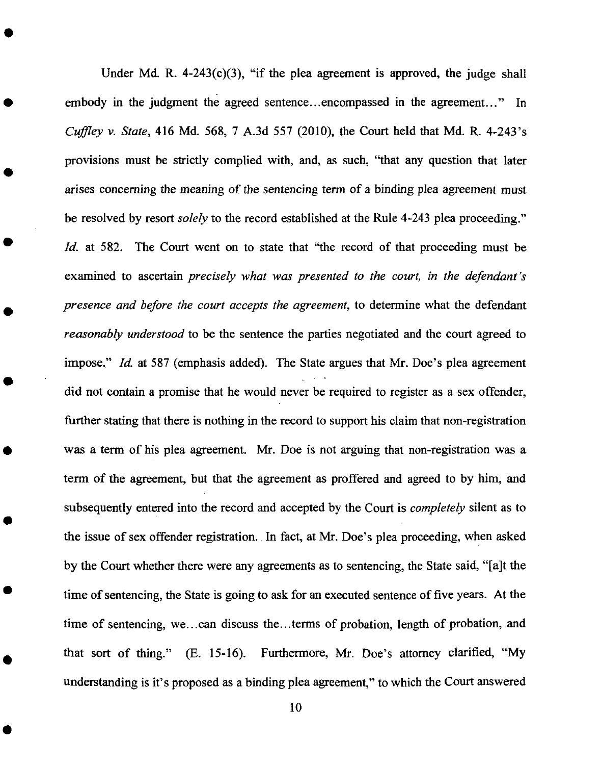Under Md. R.  $4-243(c)(3)$ , "if the plea agreement is approved, the judge shall embody in the judgment the agreed sentence...encompassed in the agreement..." In *Cuffley v. State,* 416 Md. 568, 7 A.3d 557 (2010), the Court held that Md. R. 4-243's provisions must be strictly complied with, and, as such, "that any question that later arises concerning the meaning of the sentencing term of a binding plea agreement must be resolved by resort *solely* to the record established at the Rule 4-243 plea proceeding." *Id.* at 582. The Court went on to state that "the record of that proceeding must be examined to ascertain *precisely what was presented to the court, in the defendant's presence and before the court accepts the agreement,* to determine what the defendant *reasonably understood* to be the sentence the parties negotiated and the court agreed to impose," *ld.* at 587 (emphasis added). The State argues that Mr. Doe's plea agreement did not contain a promise that he would never be required to register as a sex offender, further stating that there is nothing in the record to support his claim that non-registration was a term of his plea agreement. Mr. Doe is not arguing that non-registration was a term of the agreement, but that the agreement as proffered and agreed to by him, and subsequently entered into the record and accepted by the Court is *completely* silent as to the issue of sex offender registration. In fact, at Mr. Doe's plea proceeding, when asked by the Court whether there were any agreements as to sentencing, the State said, "[a]t the time of sentencing, the State is going to ask for an executed sentence of five years. *At* the time of sentencing, we...can discuss the...terms of probation, length of probation, and that sort of thing." (E. 15-16). Furthermore, Mr. Doe's attorney clarified, "My understanding is it's proposed as a binding plea agreement," to which the Court answered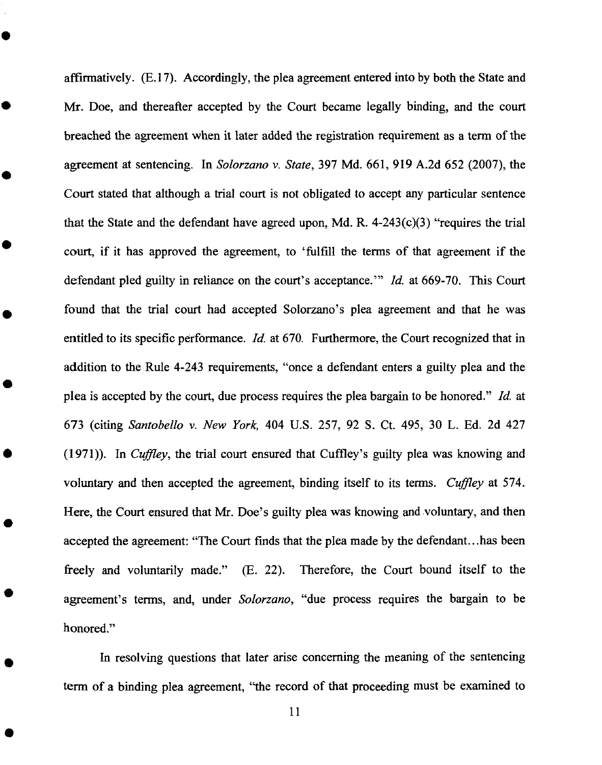affirmatively. (E.17). Accordingly, the plea agreement entered into by both the State and Mr. Doe, and thereafter accepted by the Court became legally binding, and the court breached the agreement when it later added the registration requirement as a term of the agreement at sentencing. In *Solorzano v. State,* 397 Md. 661,919 A.2d 652 (2007), the Court stated that although a trial court is not obligated to accept any particular sentence that the State and the defendant have agreed upon, Md. R.  $4-243(c)(3)$  "requires the trial court, if it has approved the agreement, to 'fulfill the terms of that agreement if the defendant pied guilty in reliance on the court's acceptance.'" *ld.* at 669-70. This Court found that the trial court had accepted Solorzano's plea agreement and that he was entitled to its specific performance, *ld.* at 670. Furthermore, the Court recognized that in addition to the Rule 4-243 requirements, "once a defendant enters a guilty plea and the plea is accepted by the court, due process requires the plea bargain to be honored." *ld.* at 673 (citing *Santobello v. New York,* 404 U.S. 257, 92 S. Ct. 495, 30 L. Ed. 2d 427 (1971)). In *Cuffley*, the trial court ensured that Cuffley's guilty plea was knowing and voluntary and then accepted the agreement, binding itself to its terms. *Cuffley* at 574. Here, the Court ensured that Mr. Doe's guilty plea was knowing and voluntary, and then accepted the agreement: "The Court finds that the plea made by the defendant...has been freely and voluntarily made." (E. 22). Therefore, the Court bound itself to the agreement's terms, and, under *Solorzano,* "due process requires the bargain to be honored."

In resolving questions that later arise concerning the meaning of the sentencing term of a binding plea agreement, "the record of that proceeding must be examined to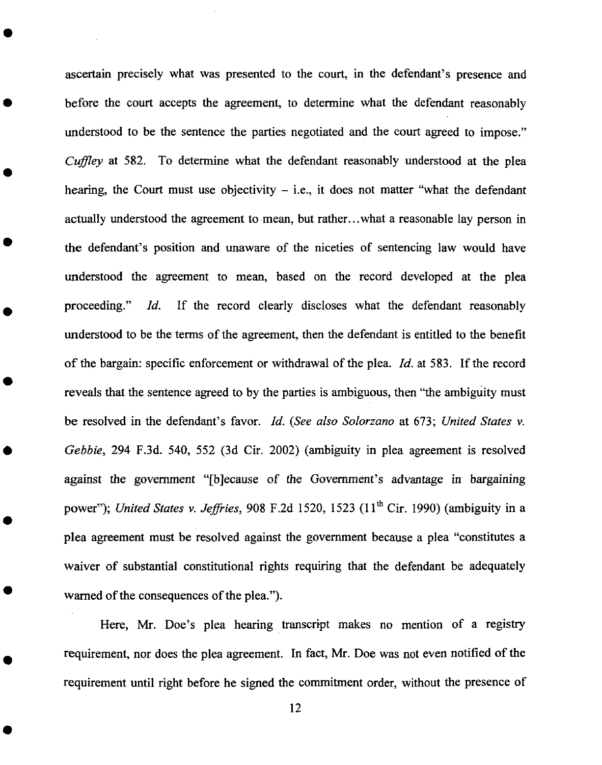ascertain precisely what was presented to the court, in the defendant's presence and before the court accepts *the* agreement, to determine what the defendant reasonably understood to be the sentence the parties negotiated and the court agreed to impose." *Cuffley* at 582. To determine what the defendant reasonably understood at the plea hearing, the Court must use objectivity  $-$  i.e., it does not matter "what the defendant actually understood the agreement to mean, but rather...what a reasonable lay person in the defendant's position and unaware of the niceties of sentencing law would have understood the agreement to mean, based on the record developed at the plea proceeding." *ld.* If the record clearly discloses what the defendant reasonably understood to be the terms of the agreement, then the defendant is entitled to the benefit of the bargain: specific enforcement or withdrawal of the plea. *ld.* at 583. If the record reveals that the sentence agreed to by the parties is ambiguous, then "the ambiguity must be resolved in the defendant's favor, *ld.* (See *also Solorzano* at 673; *United States v. Gebbie,* 294 F.3d. 540, 552 (3d Cir. 2002) (ambiguity in plea agreement is resolved against the government "[b]ecause of the Government's advantage in bargaining power"); *United States v. Jeffries*, 908 F.2d 1520, 1523 (11<sup>th</sup> Cir. 1990) (ambiguity in a plea agreement must be resolved against the government because a plea "constitutes a waiver of substantial constitutional rights requiring that the defendant be adequately warned of the consequences of the plea.").

Here, Mr. Doe's plea hearing transcript makes no mention of a registry requirement, nor does the plea agreement. In fact, Mr. Doe was not even notified of the requirement until right before he signed the commitment order, without the presence of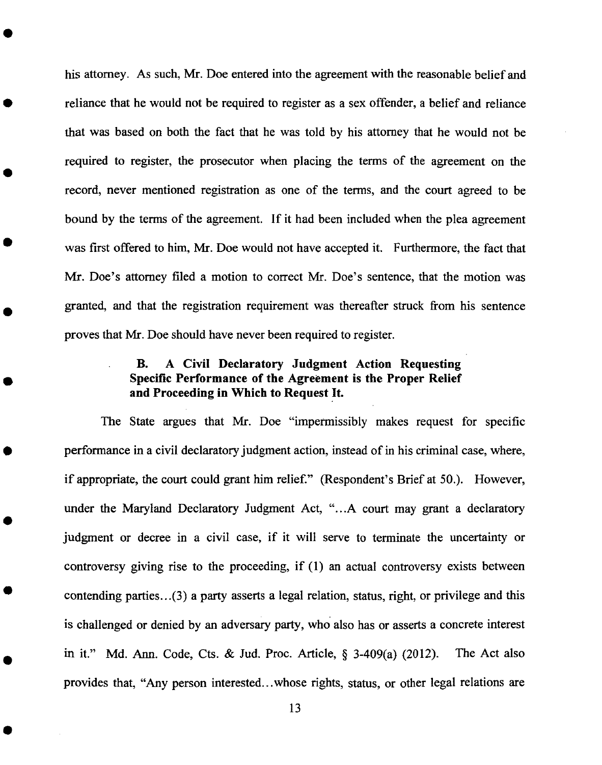his attorney. As such, Mr. Doe entered into the agreement with the reasonable belief and reliance that he would not be required to register as a sex offender, a belief and reliance that was based on both the fact that he was told by his attorney that he would not be required to register, the prosecutor when placing the terms of the agreement on the record, never mentioned registration as one of the terms, and the court agreed to be bound by the terms of the agreement. If it had been included when the plea agreement was first offered to him, Mr. Doe would not have accepted it. Furthermore, the fact that Mr. Doe's attorney filed a motion to correct Mr. Doe's sentence, that the motion was granted, and that the registration requirement was thereafter struck from his sentence proves that Mr. Doe should have never been required to register.

## B. *A Civil* Declaratory Judgment *Action* Requesting Specific Performance of the *Agreement* is the Proper Relief and Proceeding in Which to Request It.

*The* State argues that Mr. Doe "impermissibly makes request for specific performance in a civil declaratory judgment action, instead of in his criminal case, where, if appropriate, the court could grant him relief." (Respondent's Brief at 50.). However, under the Maryland Declaratory Judgment *Act,* "...A court may grant a declaratory judgment or decree in a civil case, if it will serve to terminate the uncertainty or controversy giving rise to the proceeding, if (1) an actual controversy exists between contending parties...(3) a party asserts a legal relation, status, right, or privilege and this is challenged or denied by an adversary party, who also has or asserts a concrete interest in it." Md. *Ann.* Code, Cts. & Jud. Proc. Article, § 3-409(a) (2012). The Act also provides that, "Any person interested...whose fights, status, or other legal relations are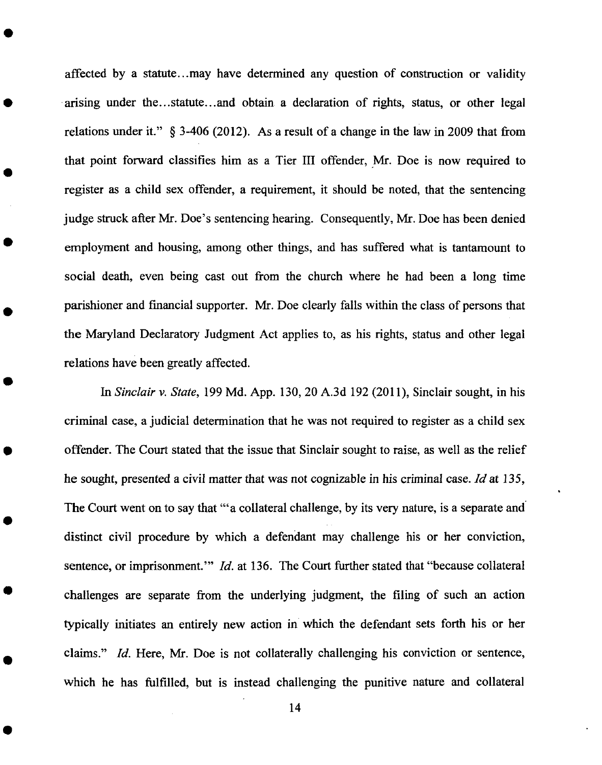affected by a statute...may have determined any question of construction or validity arising under the...statute...and obtain a declaration of rights, status, or other legal relations under it." § 3-406 (2012). As a result of a change in the law in 2009 that from that point forward classifies him as a Tier III offender, Mr. Doe is now required to register as a child sex offender, a requirement, it should be noted, that the sentencing judge struck after Mr. Doe's sentencing hearing. Consequently, Mr. Doe has been denied employment and housing, among other things, and has suffered what is tantamount to social death, even being cast out from the church where he had been a long time parishioner and financial supporter. Mr. Doe clearly falls within the class of persons that the Maryland Declaratory Judgment Act applies to, as his rights, status and other legal relations have been greatly affected.

In *Sinclair v. State,* 199 Md. App. 130, 20 A.3d 192 (201 I), Sinclair sought, in his criminal case, a judicial determination that he was not required to register as a child sex offender. The Court stated that the issue that Sinclair sought to raise, as well as the relief he sought, presented a civil matter that was not cognizable in his criminal case. *Id* at 135, The Court went on to say that "'a collateral challenge, by its very nature, is a separate and distinct civil procedure by which a defendant may challenge his or her conviction, sentence, or imprisonment." *Id.* at 136. The Court further stated that "because collateral challenges are separate from the underlying judgment, the filing of such an action typically initiates an entirely new action in which the defendant sets forth his or her claims." *Id.* Here, Mr. Doe is not collaterally challenging his conviction or sentence, which he has fulfilled, but is instead challenging the punitive nature and collateral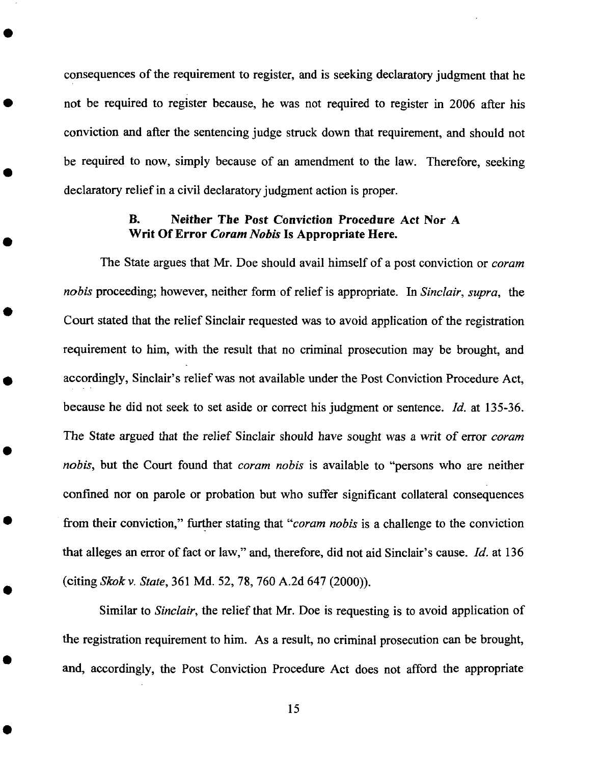consequences of the requirement to register, and is seeking declaratory judgment that he not be required to register because, he was not required to register in 2006 after his conviction and after the sentencing judge struck down that requirement, and should not be required to now, simply because of an amendment to the law. Therefore, seeking declaratory relief in a civil declaratory judgment action is proper.

## **B. Neither The Post** Conviction **Procedure Act Nor A Writ Of Error** *Coram Nobis* **Is Appropriate Here.**

The State argues that Mr. Doe should **avail** himself of a post conviction **or** *coram nobis* proceeding; however, neither form of relief is appropriate. In *Sinclair, supra,* the Court stated that the relief Sinclair requested was to avoid application of the registration requirement to him, with the result that no criminal prosecution may be brought, and accordingly, Sinclair's relief was not available under the Post Conviction Procedure Act, because he did not seek to set aside or correct his judgment or sentence, *ld.* at 135-36. The State argued that **the** relief Sinclair should have sought was a writ of error *coram nobis,* but the Court found that *coram nobis* is available to "persons who are neither confined nor on parole or probation but who suffer significant collateral consequences from their conviction," further stating that "coram *nobis* is a challenge to the conviction **that** alleges an error of fact or law," and, therefore, did not aid Sinclair's cause. *Id.* at 136 (citing *Skokv. State,* 361 Md. 52, 78, 760 A.2d 647 (2000)).

Similar to *Sinclair,* the relief that Mr. Doe is requesting is to avoid application of the registration requirement to him. As a result, no criminal prosecution can be brought, and, accordingly, the Post Conviction Procedure Act does not afford the appropriate

15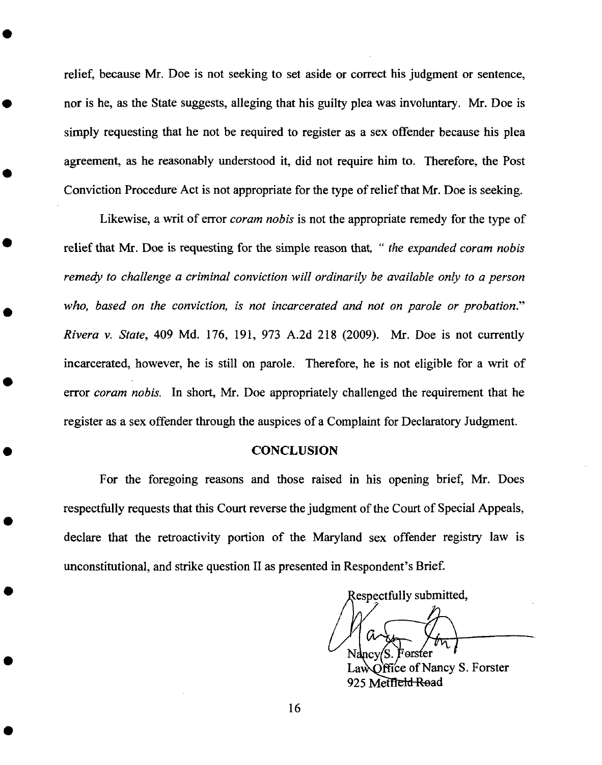relief, because Mr. Doe is not seeking to set aside or correct his judgment or sentence, nor is he, as the State suggests, alleging that his guilty plea was involuntary. Mr. Doe is simply requesting that he not be required to register as a sex offender because his plea agreement, as he reasonably understood it, did not require him to. Therefore, the Post Conviction Procedure Act is not appropriate for the type of relief that Mr. Doe is seeking.

Likewise, a writ of error *coram nobis* is not the appropriate remedy for the type of relief that Mr. Doe is requesting for the simple reason that, " *the expanded coram nobis remedy to challenge a criminal conviction will ordinarily be available only to a person who, based on the conviction, is not incarcerated and not on parole or probation." Rivera v. State,* 409 Md. 176, 191, 973 A.2d 218 (2009). Mr. Doe is not currently incarcerated, however, he is still on parole. Therefore, he is not eligible for a writ of error *coram nobis.* In short, Mr. Doe appropriately challenged the requirement that he register as a sex offender through the auspices of a Complaint for Declaratory Judgment.

#### *CONCLUSION*

For the foregoing reasons and those raised in his opening brief, Mr. Does respectfully requests that this Court reverse the judgment of the Court of Special Appeals, declare that the retroactivity portion of the Maryland sex offender registry law is unconstitutional, and strike question II as presented in Respondent's Brief.

Respectfully submitted, nev

 $\Omega$  iffice of Nancy S. Forster 925 Metff<del>eld Ro</del>ad